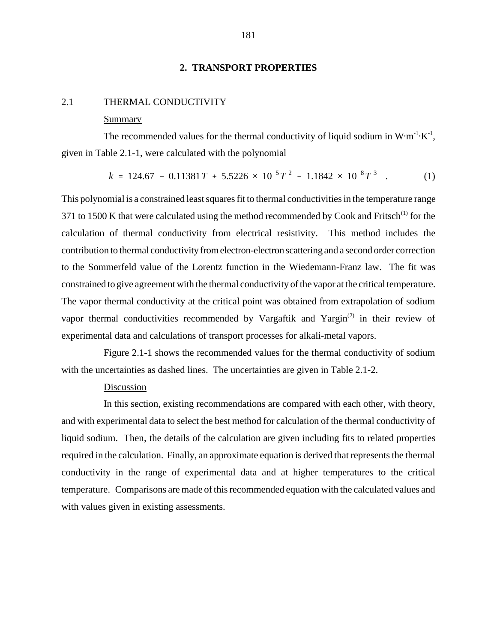# **2. TRANSPORT PROPERTIES**

### 2.1 THERMAL CONDUCTIVITY

#### Summary

The recommended values for the thermal conductivity of liquid sodium in  $W \cdot m^{-1} \cdot K^{-1}$ , given in Table 2.1-1, were calculated with the polynomial 124.67 - 0.11381 *T* + 5.5226 × 10<sup>-5</sup> *T*<sup>2</sup> - 1.1842 × 10<sup>-8</sup> *T*<sup>3</sup> . (1)

$$
k = 124.67 - 0.11381T + 5.5226 \times 10^{-5}T^2 - 1.1842 \times 10^{-8}T^3 \quad . \tag{1}
$$

This polynomial is a constrained least squares fit to thermal conductivities in the temperature range 371 to 1500 K that were calculated using the method recommended by Cook and Fritsch<sup>(1)</sup> for the calculation of thermal conductivity from electrical resistivity. This method includes the contribution to thermal conductivity from electron-electron scattering and a second order correction to the Sommerfeld value of the Lorentz function in the Wiedemann-Franz law. The fit was constrained to give agreement with the thermal conductivity of the vapor at the critical temperature. The vapor thermal conductivity at the critical point was obtained from extrapolation of sodium vapor thermal conductivities recommended by Vargaftik and Yargin<sup> $(2)$ </sup> in their review of experimental data and calculations of transport processes for alkali-metal vapors.

Figure 2.1-1 shows the recommended values for the thermal conductivity of sodium with the uncertainties as dashed lines. The uncertainties are given in Table 2.1-2.

### Discussion

In this section, existing recommendations are compared with each other, with theory, and with experimental data to select the best method for calculation of the thermal conductivity of liquid sodium. Then, the details of the calculation are given including fits to related properties required in the calculation. Finally, an approximate equation is derived that represents the thermal conductivity in the range of experimental data and at higher temperatures to the critical temperature. Comparisons are made of this recommended equation with the calculated values and with values given in existing assessments.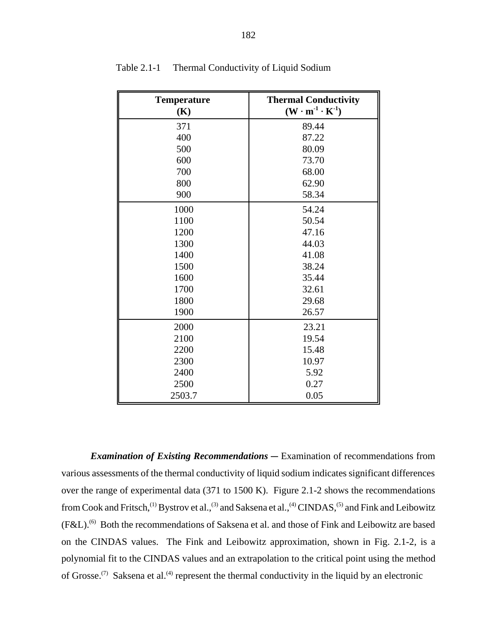| <b>Temperature</b> | <b>Thermal Conductivity</b>                                |  |
|--------------------|------------------------------------------------------------|--|
| (K)                | $(\mathbf{W} \cdot \mathbf{m}^{-1} \cdot \mathbf{K}^{-1})$ |  |
| 371                | 89.44                                                      |  |
| 400                | 87.22                                                      |  |
| 500                | 80.09                                                      |  |
| 600                | 73.70                                                      |  |
| 700                | 68.00                                                      |  |
| 800                | 62.90                                                      |  |
| 900                | 58.34                                                      |  |
| 1000               | 54.24                                                      |  |
| 1100               | 50.54                                                      |  |
| 1200               | 47.16                                                      |  |
| 1300               | 44.03                                                      |  |
| 1400               | 41.08                                                      |  |
| 1500               | 38.24                                                      |  |
| 1600               | 35.44                                                      |  |
| 1700               | 32.61                                                      |  |
| 1800               | 29.68                                                      |  |
| 1900               | 26.57                                                      |  |
| 2000               | 23.21                                                      |  |
| 2100               | 19.54                                                      |  |
| 2200               | 15.48                                                      |  |
| 2300<br>10.97      |                                                            |  |
| 2400               | 5.92                                                       |  |
| 2500               | 0.27                                                       |  |
| 2503.7             | 0.05                                                       |  |

Table 2.1-1 Thermal Conductivity of Liquid Sodium

*Examination of Existing Recommendations* — Examination of recommendations from various assessments of the thermal conductivity of liquid sodium indicates significant differences over the range of experimental data (371 to 1500 K). Figure 2.1-2 shows the recommendations from Cook and Fritsch,<sup>(1)</sup> Bystrov et al.,<sup>(3)</sup> and Saksena et al.,<sup>(4)</sup> CINDAS,<sup>(5)</sup> and Fink and Leibowitz (F&L).(6) Both the recommendations of Saksena et al. and those of Fink and Leibowitz are based on the CINDAS values. The Fink and Leibowitz approximation, shown in Fig. 2.1-2, is a polynomial fit to the CINDAS values and an extrapolation to the critical point using the method of Grosse.<sup>(7)</sup> Saksena et al.<sup>(4)</sup> represent the thermal conductivity in the liquid by an electronic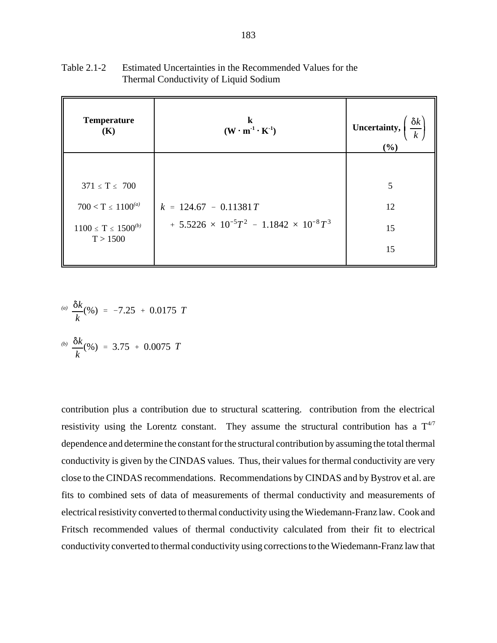| <b>Temperature</b><br>(K)               | k<br>$(\mathbf{W} \cdot \mathbf{m}^1 \cdot \mathbf{K}^1)$                          | $\frac{\delta k}{k}$<br>Uncertainty,<br>(%) |
|-----------------------------------------|------------------------------------------------------------------------------------|---------------------------------------------|
| $371 \le T \le 700$                     |                                                                                    | 5                                           |
| $700 < T \leq 1100^{(a)}$               | $k = 124.67 - 0.11381T$<br>$+ 5.5226 \times 10^{-5}T^2 - 1.1842 \times 10^{-8}T^3$ | 12                                          |
| $1100 \le T \le 1500^{(b)}$<br>T > 1500 |                                                                                    | 15<br>15                                    |

Table 2.1-2 Estimated Uncertainties in the Recommended Values for the Thermal Conductivity of Liquid Sodium

(a) 
$$
\frac{\delta k}{k}
$$
(%) = -7.25 + 0.0175 T  
(b)  $\frac{\delta k}{k}$ (%) = 3.75 + 0.0075 T

contribution plus a contribution due to structural scattering. contribution from the electrical resistivity using the Lorentz constant. They assume the structural contribution has a 
$$
T^{4/7}
$$
 dependence and determine the constant for the structural contribution by assuming the total thermal conductivity is given by the CINDAS values. Thus, their values for thermal conductivity are very close to the CINDAS recommendations. Recommendations by CINDAS and by Bystrov et al. are fits to combined sets of data of measurements of thermal conductivity and measurements of electrical resistivity converted to thermal conductivity using the Wiedemann-Franz law. Cook and Fritsch recommended values of thermal conductivity calculated from their fit to electrical conductivity converted to thermal conductivity using corrections to the Wiedemann-Franz law that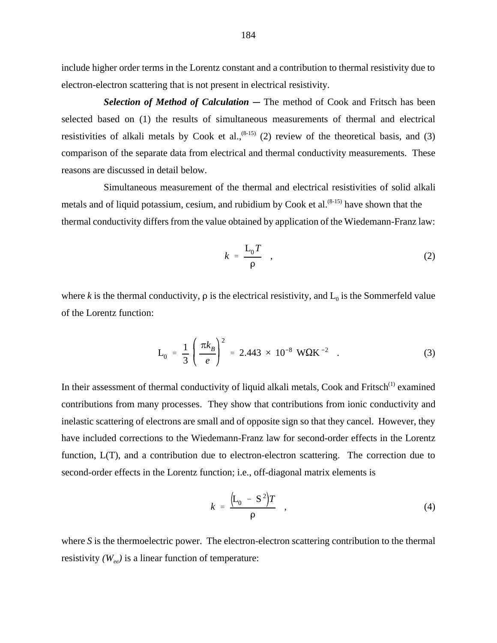include higher order terms in the Lorentz constant and a contribution to thermal resistivity due to electron-electron scattering that is not present in electrical resistivity.

**Selection of Method of Calculation** – The method of Cook and Fritsch has been selected based on (1) the results of simultaneous measurements of thermal and electrical resistivities of alkali metals by Cook et al.,<sup> $(8-15)$ </sup> (2) review of the theoretical basis, and (3) comparison of the separate data from electrical and thermal conductivity measurements. These reasons are discussed in detail below.

Simultaneous measurement of the thermal and electrical resistivities of solid alkali metals and of liquid potassium, cesium, and rubidium by Cook et al. $(8-15)$  have shown that the thermal conductivity differs from the value obtained by application of the Wiedemann-Franz law:

$$
k = \frac{\mathcal{L}_0 T}{\rho} \quad , \tag{2}
$$

where *k* is the thermal conductivity,  $\rho$  is the electrical resistivity, and  $L_0$  is the Sommerfeld value of the Lorentz function: 2.443 × 10<sup>-8</sup> WQK<sup>-2</sup> .

$$
L_0 = \frac{1}{3} \left( \frac{\pi k_B}{e} \right)^2 = 2.443 \times 10^{-8} W\Omega K^{-2} \quad . \tag{3}
$$

In their assessment of thermal conductivity of liquid alkali metals, Cook and Fritsch<sup>(1)</sup> examined contributions from many processes. They show that contributions from ionic conductivity and inelastic scattering of electrons are small and of opposite sign so that they cancel. However, they have included corrections to the Wiedemann-Franz law for second-order effects in the Lorentz function, L(T), and a contribution due to electron-electron scattering. The correction due to second-order effects in the Lorentz function; i.e., off-diagonal matrix elements is

$$
k = \frac{\left(L_0 - S^2\right)T}{\rho} \quad , \tag{4}
$$

where *S* is the thermoelectric power. The electron-electron scattering contribution to the thermal resistivity  $(W_{ee})$  is a linear function of temperature: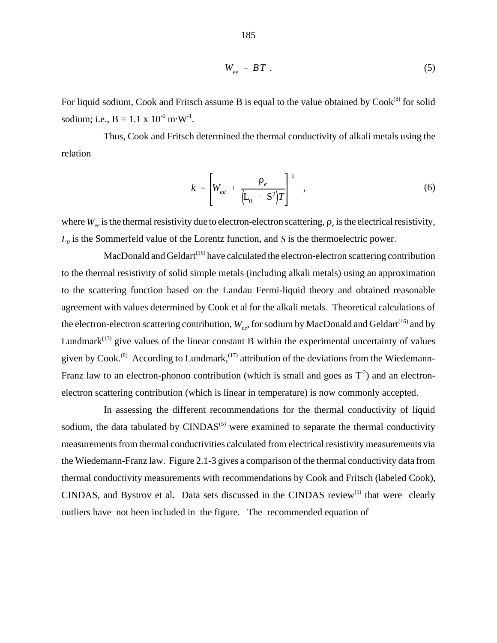$$
W_{ee} = BT
$$
 (5)

For liquid sodium, Cook and Fritsch assume B is equal to the value obtained by  $Cook^{(8)}$  for solid sodium; i.e.,  $B = 1.1 \times 10^{-6} \text{ m} \cdot \text{W}^{-1}$ .

Thus, Cook and Fritsch determined the thermal conductivity of alkali metals using the relation

$$
k = \left[ W_{ee} + \frac{\rho_e}{\left( L_0 - S^2 \right) T} \right]^{-1} , \qquad (6)
$$

where  $W_{e}$  is the thermal resistivity due to electron-electron scattering,  $\rho_e$  is the electrical resistivity,  $L_0$  is the Sommerfeld value of the Lorentz function, and *S* is the thermoelectric power.

MacDonald and Geldart<sup> $(16)$ </sup> have calculated the electron-electron scattering contribution to the thermal resistivity of solid simple metals (including alkali metals) using an approximation to the scattering function based on the Landau Fermi-liquid theory and obtained reasonable agreement with values determined by Cook et al for the alkali metals. Theoretical calculations of the electron-electron scattering contribution,  $W_{ee}$ , for sodium by MacDonald and Geldart<sup>(16)</sup> and by Lundmark $(17)$  give values of the linear constant B within the experimental uncertainty of values given by Cook.<sup>(8)</sup> According to Lundmark,<sup> $(17)$ </sup> attribution of the deviations from the Wiedemann-Franz law to an electron-phonon contribution (which is small and goes as  $T^2$ ) and an electronelectron scattering contribution (which is linear in temperature) is now commonly accepted.

In assessing the different recommendations for the thermal conductivity of liquid sodium, the data tabulated by  $\text{CINDAS}^{(5)}$  were examined to separate the thermal conductivity measurements from thermal conductivities calculated from electrical resistivity measurements via the Wiedemann-Franz law. Figure 2.1-3 gives a comparison of the thermal conductivity data from thermal conductivity measurements with recommendations by Cook and Fritsch (labeled Cook), CINDAS, and Bystrov et al. Data sets discussed in the CINDAS review<sup>(5)</sup> that were clearly outliers have not been included in the figure. The recommended equation of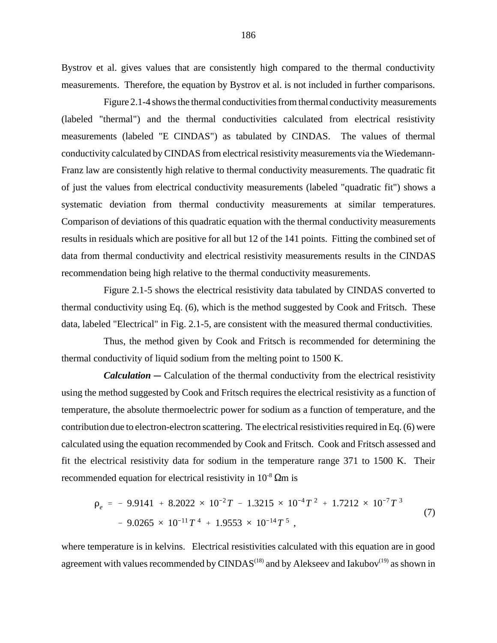Bystrov et al. gives values that are consistently high compared to the thermal conductivity measurements. Therefore, the equation by Bystrov et al. is not included in further comparisons.

 Figure 2.1-4 shows the thermal conductivities from thermal conductivity measurements (labeled "thermal") and the thermal conductivities calculated from electrical resistivity measurements (labeled "E CINDAS") as tabulated by CINDAS. The values of thermal conductivity calculated by CINDAS from electrical resistivity measurements via the Wiedemann-Franz law are consistently high relative to thermal conductivity measurements. The quadratic fit of just the values from electrical conductivity measurements (labeled "quadratic fit") shows a systematic deviation from thermal conductivity measurements at similar temperatures. Comparison of deviations of this quadratic equation with the thermal conductivity measurements results in residuals which are positive for all but 12 of the 141 points. Fitting the combined set of data from thermal conductivity and electrical resistivity measurements results in the CINDAS recommendation being high relative to the thermal conductivity measurements.

Figure 2.1-5 shows the electrical resistivity data tabulated by CINDAS converted to thermal conductivity using Eq. (6), which is the method suggested by Cook and Fritsch. These data, labeled "Electrical" in Fig. 2.1-5, are consistent with the measured thermal conductivities.

Thus, the method given by Cook and Fritsch is recommended for determining the thermal conductivity of liquid sodium from the melting point to 1500 K.

*Calculation* — Calculation of the thermal conductivity from the electrical resistivity using the method suggested by Cook and Fritsch requires the electrical resistivity as a function of temperature, the absolute thermoelectric power for sodium as a function of temperature, and the contribution due to electron-electron scattering. The electrical resistivities required in Eq. (6) were calculated using the equation recommended by Cook and Fritsch. Cook and Fritsch assessed and<br>fit the electrical resistivity data for sodium in the temperature range 371 to 1500 K. Their<br>recommended equation for electrical fit the electrical resistivity data for sodium in the temperature range 371 to 1500 K. Their<br>
recommended equation for electrical resistivity in  $10^{-8}$  Ωm is<br>  $\rho_e = -9.9141 + 8.2022 \times 10^{-2}T - 1.3215 \times 10^{-4}T^2 + 1.7212 \times 1$ recommended equation for electrical resistivity in  $10^{-8}$   $\Omega$ m is

$$
\rho_e = -9.9141 + 8.2022 \times 10^{-2} T - 1.3215 \times 10^{-4} T^2 + 1.7212 \times 10^{-7} T^3
$$
  
- 9.0265 × 10<sup>-11</sup> T<sup>4</sup> + 1.9553 × 10<sup>-14</sup> T<sup>5</sup>

where temperature is in kelvins. Electrical resistivities calculated with this equation are in good agreement with values recommended by CINDAS<sup> $(18)$ </sup> and by Alekseev and Iakubov<sup> $(19)$ </sup> as shown in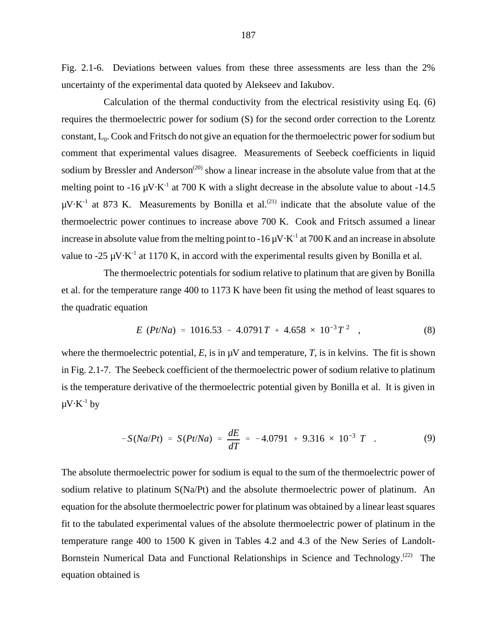Fig. 2.1-6. Deviations between values from these three assessments are less than the 2% uncertainty of the experimental data quoted by Alekseev and Iakubov.

Calculation of the thermal conductivity from the electrical resistivity using Eq. (6) requires the thermoelectric power for sodium (S) for the second order correction to the Lorentz constant,  $L_0$ . Cook and Fritsch do not give an equation for the thermoelectric power for sodium but comment that experimental values disagree. Measurements of Seebeck coefficients in liquid sodium by Bressler and Anderson<sup> $(20)$ </sup> show a linear increase in the absolute value from that at the melting point to -16  $\mu$ V $\cdot$ K<sup>-1</sup> at 700 K with a slight decrease in the absolute value to about -14.5  $\mu$ V $\cdot$ K<sup>-1</sup> at 873 K. Measurements by Bonilla et al.<sup>(21)</sup> indicate that the absolute value of the thermoelectric power continues to increase above 700 K. Cook and Fritsch assumed a linear increase in absolute value from the melting point to  $-16 \mu V \cdot K^{-1}$  at 700 K and an increase in absolute value to -25  $\mu$ V $\cdot$ K<sup>-1</sup> at 1170 K, in accord with the experimental results given by Bonilla et al.

The thermoelectric potentials for sodium relative to platinum that are given by Bonilla et al. for the temperature range 400 to 1173 K have been fit using the method of least squares to the quadratic equation potentials for sodium relative to platinum that are given by Bonilla:<br>  $\approx 400$  to 1173 K have been fit using the method of least squares to<br>  $= 1016.53 - 4.0791T + 4.658 \times 10^{-3}T^2$  (8)

$$
E (Pt/Na) = 1016.53 - 4.0791T + 4.658 \times 10^{-3}T^2 , \qquad (8)
$$

where the thermoelectric potential,  $E$ , is in  $\mu$ V and temperature,  $T$ , is in kelvins. The fit is shown in Fig. 2.1-7. The Seebeck coefficient of the thermoelectric power of sodium relative to platinum is the temperature derivative of the thermoelectric potential given by Bonilla et al. It is given in  $\mu V \cdot K^{-1}$  by  $\frac{1}{2}$  potential given by Bonilla et a<br>  $\frac{1}{2} - 4.0791 + 9.316 \times 10^{-3} T$ .

$$
-S(Na/Pt) = S(Pt/Na) = \frac{dE}{dT} = -4.0791 + 9.316 \times 10^{-3} T
$$
 (9)

The absolute thermoelectric power for sodium is equal to the sum of the thermoelectric power of sodium relative to platinum  $S(Na/Pt)$  and the absolute thermoelectric power of platinum. An equation for the absolute thermoelectric power for platinum was obtained by a linear least squares fit to the tabulated experimental values of the absolute thermoelectric power of platinum in the temperature range 400 to 1500 K given in Tables 4.2 and 4.3 of the New Series of Landolt-Bornstein Numerical Data and Functional Relationships in Science and Technology.<sup>(22)</sup> The equation obtained is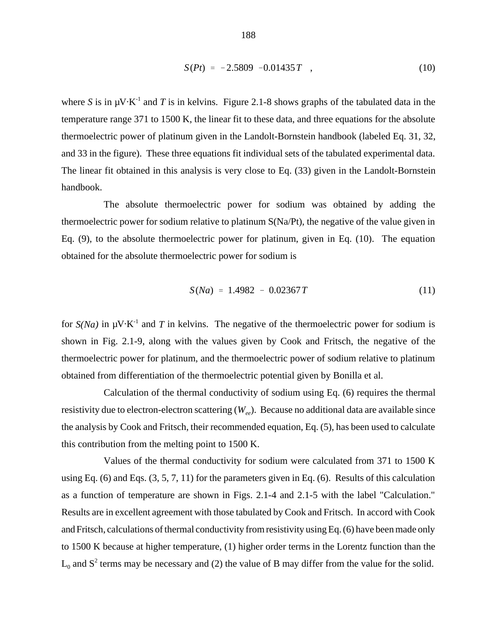$$
S(Pt) = -2.5809 -0.01435T , \qquad (10)
$$

where *S* is in  $\mu$ V $\cdot$ K<sup>-1</sup> and *T* is in kelvins. Figure 2.1-8 shows graphs of the tabulated data in the temperature range 371 to 1500 K, the linear fit to these data, and three equations for the absolute thermoelectric power of platinum given in the Landolt-Bornstein handbook (labeled Eq. 31, 32, and 33 in the figure). These three equations fit individual sets of the tabulated experimental data. The linear fit obtained in this analysis is very close to Eq. (33) given in the Landolt-Bornstein handbook.

The absolute thermoelectric power for sodium was obtained by adding the thermoelectric power for sodium relative to platinum S(Na/Pt), the negative of the value given in Eq. (9), to the absolute thermoelectric power for platinum, given in Eq. (10). The equation obtained for the absolute thermoelectric power for sodium is

$$
S(Na) = 1.4982 - 0.02367T \tag{11}
$$

for  $S(Na)$  in  $\mu$ V·K<sup>-1</sup> and *T* in kelvins. The negative of the thermoelectric power for sodium is shown in Fig. 2.1-9, along with the values given by Cook and Fritsch, the negative of the thermoelectric power for platinum, and the thermoelectric power of sodium relative to platinum obtained from differentiation of the thermoelectric potential given by Bonilla et al.

Calculation of the thermal conductivity of sodium using Eq. (6) requires the thermal resistivity due to electron-electron scattering ( $W_{e\rho}$ ). Because no additional data are available since the analysis by Cook and Fritsch, their recommended equation, Eq. (5), has been used to calculate this contribution from the melting point to 1500 K.

Values of the thermal conductivity for sodium were calculated from 371 to 1500 K using Eq. (6) and Eqs. (3, 5, 7, 11) for the parameters given in Eq. (6). Results of this calculation as a function of temperature are shown in Figs. 2.1-4 and 2.1-5 with the label "Calculation." Results are in excellent agreement with those tabulated by Cook and Fritsch. In accord with Cook and Fritsch, calculations of thermal conductivity from resistivity using Eq. (6) have been made only to 1500 K because at higher temperature, (1) higher order terms in the Lorentz function than the  $L_0$  and  $S^2$  terms may be necessary and (2) the value of B may differ from the value for the solid.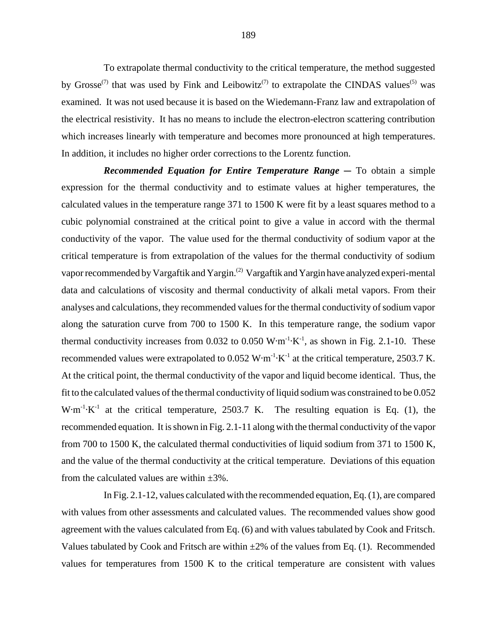To extrapolate thermal conductivity to the critical temperature, the method suggested by Grosse<sup>(7)</sup> that was used by Fink and Leibowitz<sup>(7)</sup> to extrapolate the CINDAS values<sup>(5)</sup> was examined. It was not used because it is based on the Wiedemann-Franz law and extrapolation of the electrical resistivity. It has no means to include the electron-electron scattering contribution which increases linearly with temperature and becomes more pronounced at high temperatures. In addition, it includes no higher order corrections to the Lorentz function.

*Recommended Equation for Entire Temperature Range* – To obtain a simple expression for the thermal conductivity and to estimate values at higher temperatures, the calculated values in the temperature range 371 to 1500 K were fit by a least squares method to a cubic polynomial constrained at the critical point to give a value in accord with the thermal conductivity of the vapor. The value used for the thermal conductivity of sodium vapor at the critical temperature is from extrapolation of the values for the thermal conductivity of sodium vapor recommended by Vargaftik and Yargin.<sup>(2)</sup> Vargaftik and Yargin have analyzed experi-mental data and calculations of viscosity and thermal conductivity of alkali metal vapors. From their analyses and calculations, they recommended values for the thermal conductivity of sodium vapor along the saturation curve from 700 to 1500 K. In this temperature range, the sodium vapor thermal conductivity increases from 0.032 to 0.050  $W \cdot m^{-1} \cdot K^{-1}$ , as shown in Fig. 2.1-10. These recommended values were extrapolated to  $0.052 \text{ W} \cdot \text{m}^{-1} \cdot \text{K}^{-1}$  at the critical temperature, 2503.7 K. At the critical point, the thermal conductivity of the vapor and liquid become identical. Thus, the fit to the calculated values of the thermal conductivity of liquid sodium was constrained to be 0.052 W $\cdot$ m<sup>-1</sup> $\cdot$ K<sup>-1</sup> at the critical temperature, 2503.7 K. The resulting equation is Eq. (1), the recommended equation. It is shown in Fig. 2.1-11 along with the thermal conductivity of the vapor from 700 to 1500 K, the calculated thermal conductivities of liquid sodium from 371 to 1500 K, and the value of the thermal conductivity at the critical temperature. Deviations of this equation from the calculated values are within  $\pm 3\%$ .

In Fig. 2.1-12, values calculated with the recommended equation, Eq. (1), are compared with values from other assessments and calculated values. The recommended values show good agreement with the values calculated from Eq. (6) and with values tabulated by Cook and Fritsch. Values tabulated by Cook and Fritsch are within  $\pm 2\%$  of the values from Eq. (1). Recommended values for temperatures from 1500 K to the critical temperature are consistent with values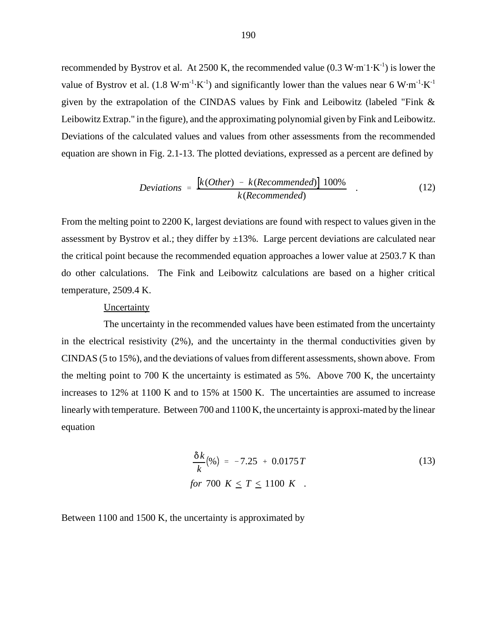recommended by Bystrov et al. At 2500 K, the recommended value  $(0.3 \text{ W} \cdot \text{m}^{-1} \cdot \text{K}^{-1})$  is lower the value of Bystrov et al.  $(1.8 \text{ W} \cdot \text{m}^{-1} \cdot \text{K}^{-1})$  and significantly lower than the values near 6 W $\cdot$ m<sup>-1</sup> $\cdot$ K<sup>-1</sup> given by the extrapolation of the CINDAS values by Fink and Leibowitz (labeled "Fink & Leibowitz Extrap." in the figure), and the approximating polynomial given by Fink and Leibowitz. Deviations of the calculated values and values from other assessments from the recommended equation are shown in Fig. 2.1-13. The plotted deviations, expressed as a percent are defined by

$$
Deviations = \frac{\left[k(Other) - k(Recommended)\right]100\%}{k(Recommended)} \tag{12}
$$

From the melting point to 2200 K, largest deviations are found with respect to values given in the assessment by Bystrov et al.; they differ by  $\pm 13\%$ . Large percent deviations are calculated near the critical point because the recommended equation approaches a lower value at 2503.7 K than do other calculations. The Fink and Leibowitz calculations are based on a higher critical temperature, 2509.4 K.

# **Uncertainty**

The uncertainty in the recommended values have been estimated from the uncertainty in the electrical resistivity (2%), and the uncertainty in the thermal conductivities given by CINDAS (5 to 15%), and the deviations of values from different assessments, shown above. From the melting point to 700 K the uncertainty is estimated as 5%. Above 700 K, the uncertainty increases to 12% at 1100 K and to 15% at 1500 K. The uncertainties are assumed to increase linearly with temperature. Between 700 and 1100 K, the uncertainty is approxi-mated by the linear equation

$$
\frac{\delta k}{k}(\%) = -7.25 + 0.0175T
$$
\n
$$
\text{for } 700 \, K \le T \le 1100 \, K \quad .
$$
\n(13)

Between 1100 and 1500 K, the uncertainty is approximated by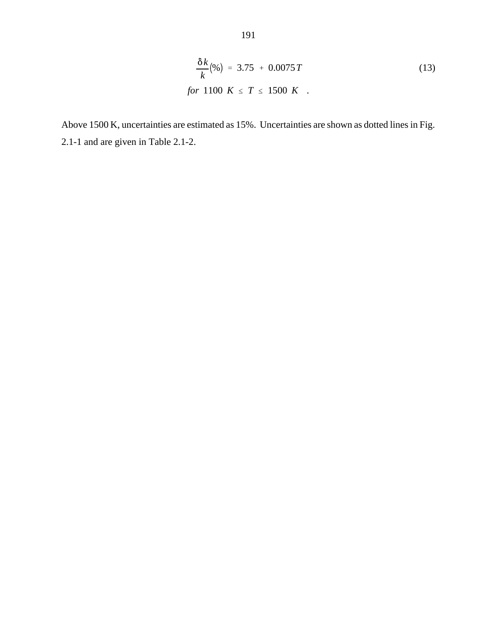$$
\frac{\delta k}{k}(\%) = 3.75 + 0.0075T
$$
\n
$$
\text{for } 1100 \, K \leq T \leq 1500 \, K \quad .
$$
\n(13)

Above 1500 K, uncertainties are estimated as 15%. Uncertainties are shown as dotted lines in Fig. 2.1-1 and are given in Table 2.1-2.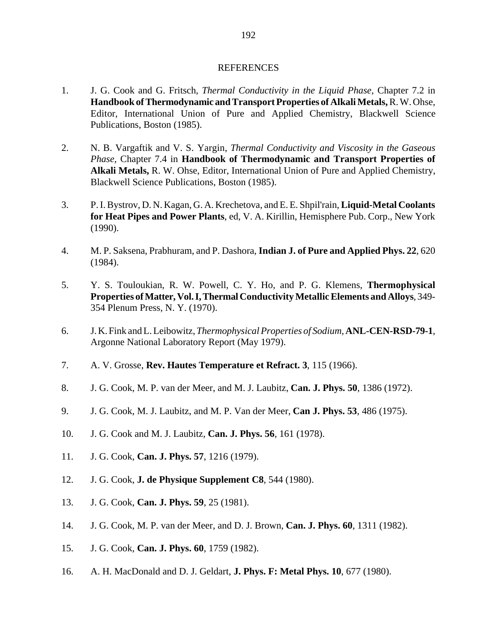### REFERENCES

- 1. J. G. Cook and G. Fritsch, *Thermal Conductivity in the Liquid Phase,* Chapter 7.2 in **Handbook of Thermodynamic and Transport Properties of Alkali Metals,** R. W. Ohse, Editor, International Union of Pure and Applied Chemistry, Blackwell Science Publications, Boston (1985).
- 2. N. B. Vargaftik and V. S. Yargin, *Thermal Conductivity and Viscosity in the Gaseous Phase,* Chapter 7.4 in **Handbook of Thermodynamic and Transport Properties of Alkali Metals,** R. W. Ohse, Editor, International Union of Pure and Applied Chemistry, Blackwell Science Publications, Boston (1985).
- 3. P. I. Bystrov, D. N. Kagan, G. A. Krechetova, and E. E. Shpil'rain, **Liquid-Metal Coolants for Heat Pipes and Power Plants**, ed, V. A. Kirillin, Hemisphere Pub. Corp., New York (1990).
- 4. M. P. Saksena, Prabhuram, and P. Dashora, **Indian J. of Pure and Applied Phys. 22**, 620 (1984).
- 5. Y. S. Touloukian, R. W. Powell, C. Y. Ho, and P. G. Klemens, **Thermophysical Properties of Matter, Vol. I, Thermal Conductivity Metallic Elements and Alloys**, 349- 354 Plenum Press, N. Y. (1970).
- 6. J. K. Fink and L. Leibowitz, *Thermophysical Properties of Sodium,* **ANL-CEN-RSD-79-1**, Argonne National Laboratory Report (May 1979).
- 7. A. V. Grosse, **Rev. Hautes Temperature et Refract. 3**, 115 (1966).
- 8. J. G. Cook, M. P. van der Meer, and M. J. Laubitz, **Can. J. Phys. 50**, 1386 (1972).
- 9. J. G. Cook, M. J. Laubitz, and M. P. Van der Meer, **Can J. Phys. 53**, 486 (1975).
- 10. J. G. Cook and M. J. Laubitz, **Can. J. Phys. 56**, 161 (1978).
- 11. J. G. Cook, **Can. J. Phys. 57**, 1216 (1979).
- 12. J. G. Cook, **J. de Physique Supplement C8**, 544 (1980).
- 13. J. G. Cook, **Can. J. Phys. 59**, 25 (1981).
- 14. J. G. Cook, M. P. van der Meer, and D. J. Brown, **Can. J. Phys. 60**, 1311 (1982).
- 15. J. G. Cook, **Can. J. Phys. 60**, 1759 (1982).
- 16. A. H. MacDonald and D. J. Geldart, **J. Phys. F: Metal Phys. 10**, 677 (1980).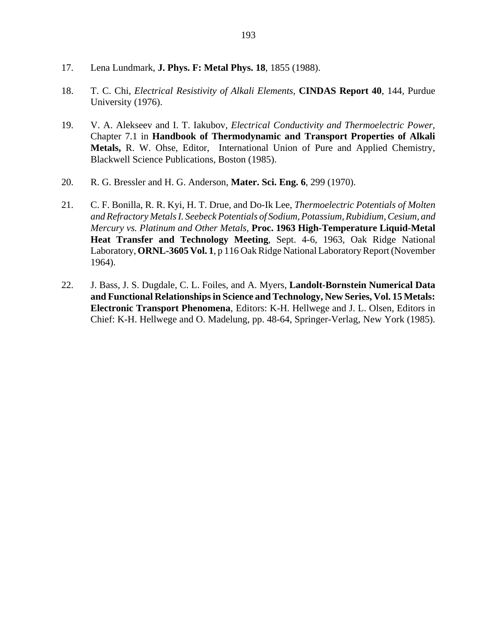- 17. Lena Lundmark, **J. Phys. F: Metal Phys. 18**, 1855 (1988).
- 18. T. C. Chi, *Electrical Resistivity of Alkali Elements,* **CINDAS Report 40**, 144, Purdue University (1976).
- 19. V. A. Alekseev and I. T. Iakubov, *Electrical Conductivity and Thermoelectric Power,* Chapter 7.1 in **Handbook of Thermodynamic and Transport Properties of Alkali Metals,** R. W. Ohse, Editor, International Union of Pure and Applied Chemistry, Blackwell Science Publications, Boston (1985).
- 20. R. G. Bressler and H. G. Anderson, **Mater. Sci. Eng. 6**, 299 (1970).
- 21. C. F. Bonilla, R. R. Kyi, H. T. Drue, and Do-Ik Lee, *Thermoelectric Potentials of Molten and Refractory Metals I. Seebeck Potentials of Sodium, Potassium, Rubidium, Cesium, and Mercury vs. Platinum and Other Metals,* **Proc. 1963 High-Temperature Liquid-Metal Heat Transfer and Technology Meeting**, Sept. 4-6, 1963, Oak Ridge National Laboratory, **ORNL-3605 Vol. 1**, p 116 Oak Ridge National Laboratory Report (November 1964).
- 22. J. Bass, J. S. Dugdale, C. L. Foiles, and A. Myers, **Landolt-Bornstein Numerical Data and Functional Relationships in Science and Technology, New Series, Vol. 15 Metals: Electronic Transport Phenomena**, Editors: K-H. Hellwege and J. L. Olsen, Editors in Chief: K-H. Hellwege and O. Madelung, pp. 48-64, Springer-Verlag, New York (1985).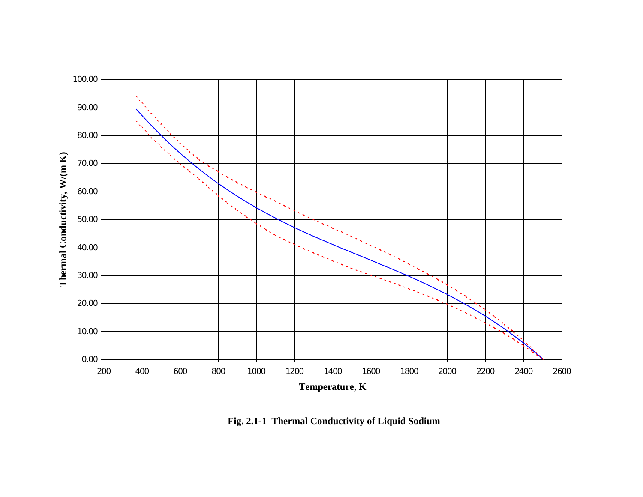

**Fig. 2.1-1 Thermal Conductivity of Liquid Sodium**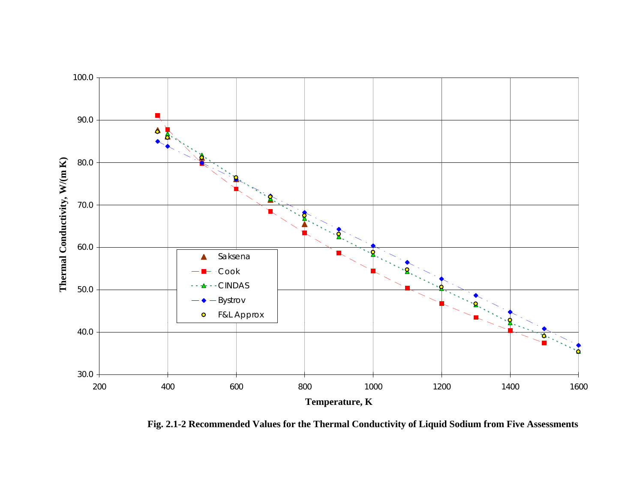

**Fig. 2.1-2 Recommended Values for the Thermal Conductivity of Liquid Sodium from Five Assessments**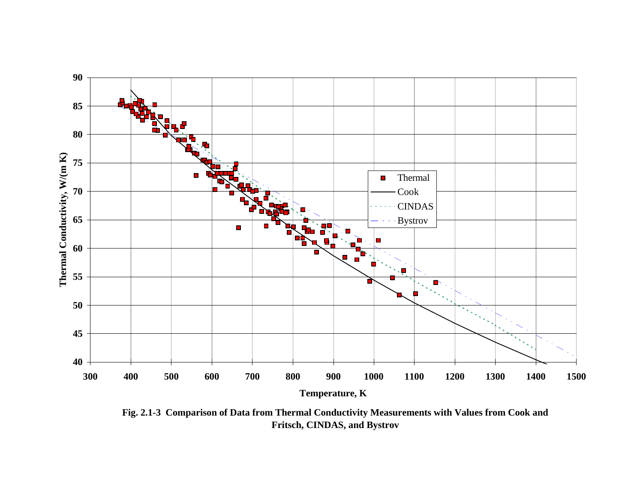

**Fig. 2.1-3 Comparison of Data from Thermal Conductivity Measurements with Values from Cook and Fritsch, CINDAS, and Bystrov**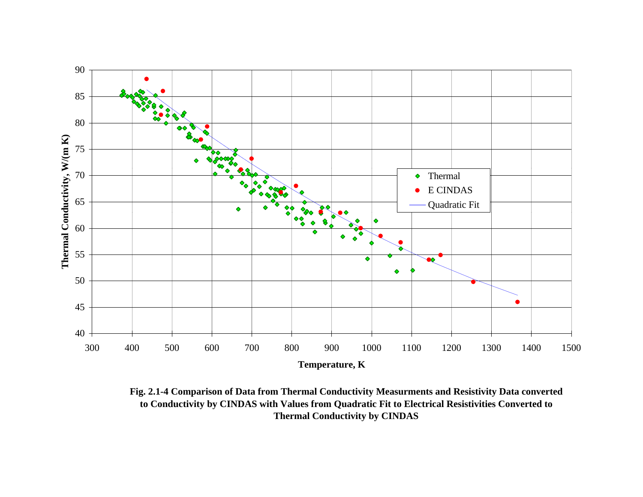

**Fig. 2.1-4 Comparison of Data from Thermal Conductivity Measurments and Resistivity Data converted to Conductivity by CINDAS with Values from Quadratic Fit to Electrical Resistivities Converted to Thermal Conductivity by CINDAS**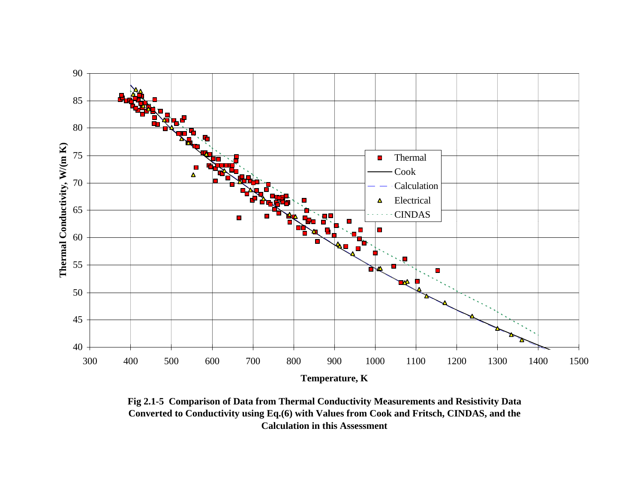

**Fig 2.1-5 Comparison of Data from Thermal Conductivity Measurements and Resistivity Data Converted to Conductivity using Eq.(6) with Values from Cook and Fritsch, CINDAS, and the Calculation in this Assessment**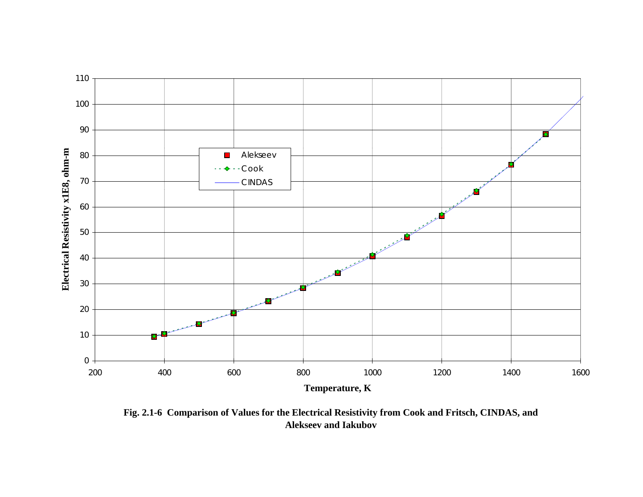

**Fig. 2.1-6 Comparison of Values for the Electrical Resistivity from Cook and Fritsch, CINDAS, and Alekseev and Iakubov**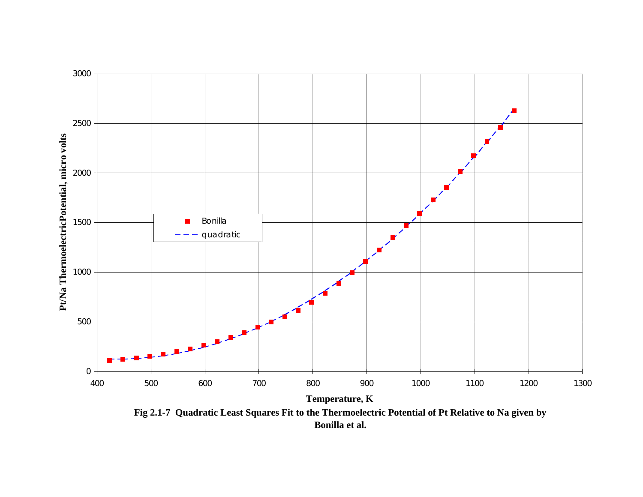

**Fig 2.1-7 Quadratic Least Squares Fit to the Thermoelectric Potential of Pt Relative to Na given by Bonilla et al.**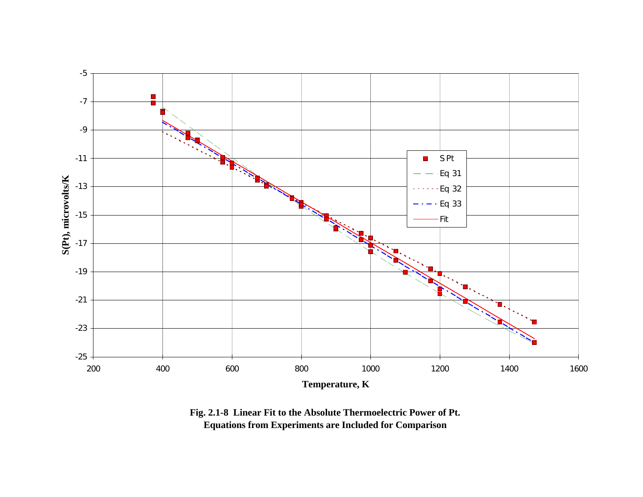

**Fig. 2.1-8 Linear Fit to the Absolute Thermoelectric Power of Pt. Equations from Experiments are Included for Comparison**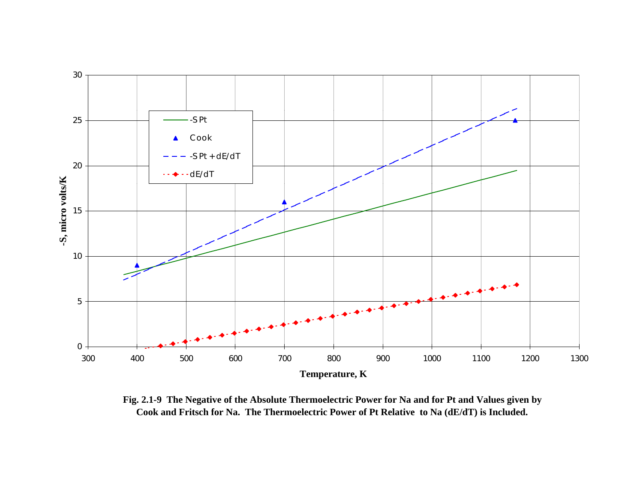

**Fig. 2.1-9 The Negative of the Absolute Thermoelectric Power for Na and for Pt and Values given by Cook and Fritsch for Na. The Thermoelectric Power of Pt Relative to Na (dE/dT) is Included.**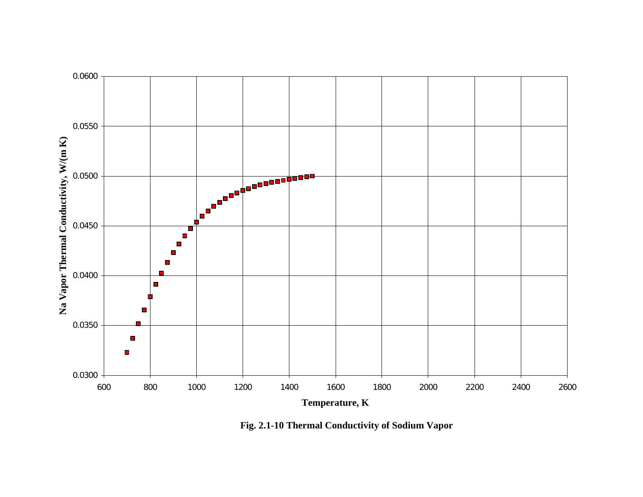

**Fig. 2.1-10 Thermal Conductivity of Sodium Vapor**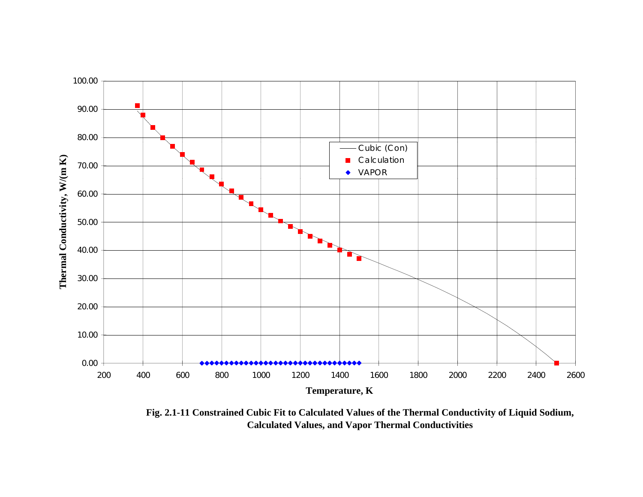

**Fig. 2.1-11 Constrained Cubic Fit to Calculated Values of the Thermal Conductivity of Liquid Sodium, Calculated Values, and Vapor Thermal Conductivities**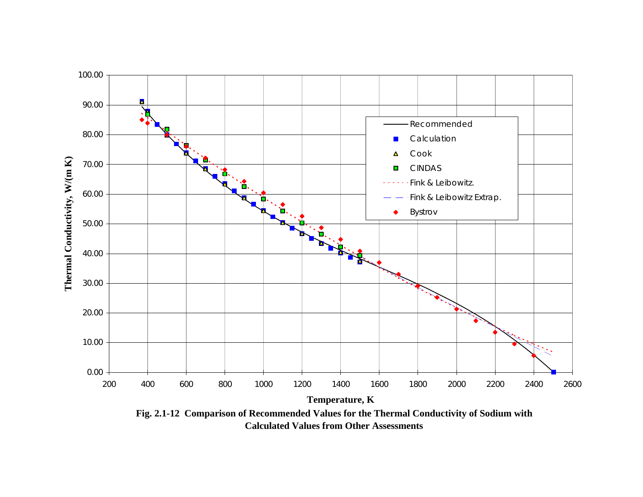

**Fig. 2.1-12 Comparison of Recommended Values for the Thermal Conductivity of Sodium with Calculated Values from Other Assessments**